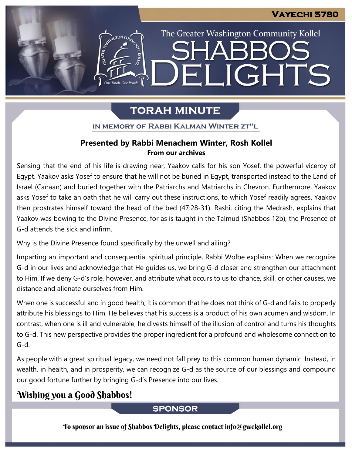The Greater Washington Community Kollel

ELIGHTS

# **TORAH MINUTE**

IN MEMORY OF RABBI KALMAN WINTER ZT"L

## **Presented by Rabbi Menachem Winter, Rosh Kollel From our archives**

Sensing that the end of his life is drawing near, Yaakov calls for his son Yosef, the powerful viceroy of Egypt. Yaakov asks Yosef to ensure that he will not be buried in Egypt, transported instead to the Land of Israel (Canaan) and buried together with the Patriarchs and Matriarchs in Chevron. Furthermore, Yaakov asks Yosef to take an oath that he will carry out these instructions, to which Yosef readily agrees. Yaakov then prostrates himself toward the head of the bed (47:28-31). Rashi, citing the Medrash, explains that Yaakov was bowing to the Divine Presence, for as is taught in the Talmud (Shabbos 12b), the Presence of G-d attends the sick and infirm.

Why is the Divine Presence found specifically by the unwell and ailing?

Imparting an important and consequential spiritual principle, Rabbi Wolbe explains: When we recognize G-d in our lives and acknowledge that He guides us, we bring G-d closer and strengthen our attachment to Him. If we deny G-d's role, however, and attribute what occurs to us to chance, skill, or other causes, we distance and alienate ourselves from Him.

When one is successful and in good health, it is common that he does not think of G-d and fails to properly attribute his blessings to Him. He believes that his success is a product of his own acumen and wisdom. In contrast, when one is ill and vulnerable, he divests himself of the illusion of control and turns his thoughts to G-d. This new perspective provides the proper ingredient for a profound and wholesome connection to G-d.

As people with a great spiritual legacy, we need not fall prey to this common human dynamic. Instead, in wealth, in health, and in prosperity, we can recognize G-d as the source of our blessings and compound our good fortune further by bringing G-d's Presence into our lives.

## Wishing you a Good Shabbos!

## **SPONSOR**

To sponsor an issue of Shabbos Delights, please contact info@gwckollel.org